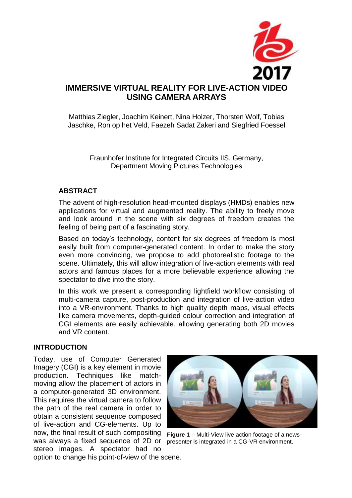

Matthias Ziegler, Joachim Keinert, Nina Holzer, Thorsten Wolf, Tobias Jaschke, Ron op het Veld, Faezeh Sadat Zakeri and Siegfried Foessel

Fraunhofer Institute for Integrated Circuits IIS, Germany, Department Moving Pictures Technologies

# **ABSTRACT**

The advent of high-resolution head-mounted displays (HMDs) enables new applications for virtual and augmented reality. The ability to freely move and look around in the scene with six degrees of freedom creates the feeling of being part of a fascinating story.

Based on today's technology, content for six degrees of freedom is most easily built from computer-generated content. In order to make the story even more convincing, we propose to add photorealistic footage to the scene. Ultimately, this will allow integration of live-action elements with real actors and famous places for a more believable experience allowing the spectator to dive into the story.

In this work we present a corresponding lightfield workflow consisting of multi-camera capture, post-production and integration of live-action video into a VR-environment. Thanks to high quality depth maps, visual effects like camera movements, depth-guided colour correction and integration of CGI elements are easily achievable, allowing generating both 2D movies and VR content.

# **INTRODUCTION**

now, the final result of such compositing Figure 1 – Multi-View live action footage of a newswas always a fixed sequence of 2D or presenter is integrated in a CG-VR environment. Today, use of Computer Generated Imagery (CGI) is a key element in movie production. Techniques like matchmoving allow the placement of actors in a computer-generated 3D environment. This requires the virtual camera to follow the path of the real camera in order to obtain a consistent sequence composed of live-action and CG-elements. Up to stereo images. A spectator had no



option to change his point-of-view of the scene.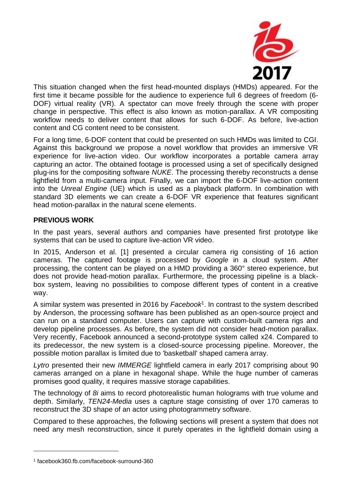

This situation changed when the first head-mounted displays (HMDs) appeared. For the first time it became possible for the audience to experience full 6 degrees of freedom (6- DOF) virtual reality (VR). A spectator can move freely through the scene with proper change in perspective. This effect is also known as motion-parallax. A VR compositing workflow needs to deliver content that allows for such 6-DOF. As before, live-action content and CG content need to be consistent.

For a long time, 6-DOF content that could be presented on such HMDs was limited to CGI. Against this background we propose a novel workflow that provides an immersive VR experience for live-action video. Our workflow incorporates a portable camera array capturing an actor. The obtained footage is processed using a set of specifically designed plug-ins for the compositing software *NUKE*. The processing thereby reconstructs a dense lightfield from a multi-camera input. Finally, we can import the 6-DOF live-action content into the *Unreal Engine* (UE) which is used as a playback platform. In combination with standard 3D elements we can create a 6-DOF VR experience that features significant head motion-parallax in the natural scene elements.

## **PREVIOUS WORK**

In the past years, several authors and companies have presented first prototype like systems that can be used to capture live-action VR video.

In 2015, Anderson et al. [1] presented a circular camera rig consisting of 16 action cameras. The captured footage is processed by *Google* in a cloud system. After processing, the content can be played on a HMD providing a 360° stereo experience, but does not provide head-motion parallax. Furthermore, the processing pipeline is a blackbox system, leaving no possibilities to compose different types of content in a creative way.

A similar system was presented in 2016 by Facebook<sup>1</sup>. In contrast to the system described by Anderson, the processing software has been published as an open-source project and can run on a standard computer. Users can capture with custom-built camera rigs and develop pipeline processes. As before, the system did not consider head-motion parallax. Very recently, Facebook announced a second-prototype system called x24. Compared to its predecessor, the new system is a closed-source processing pipeline. Moreover, the possible motion parallax is limited due to 'basketball' shaped camera array.

*Lytro* presented their new *IMMERGE* lightfield camera in early 2017 comprising about 90 cameras arranged on a plane in hexagonal shape. While the huge number of cameras promises good quality, it requires massive storage capabilities.

The technology of *8i* aims to record photorealistic human holograms with true volume and depth. Similarly, *TEN24-Media* uses a capture stage consisting of over 170 cameras to reconstruct the 3D shape of an actor using photogrammetry software.

Compared to these approaches, the following sections will present a system that does not need any mesh reconstruction, since it purely operates in the lightfield domain using a

1

<sup>1</sup> facebook360.fb.com/facebook-surround-360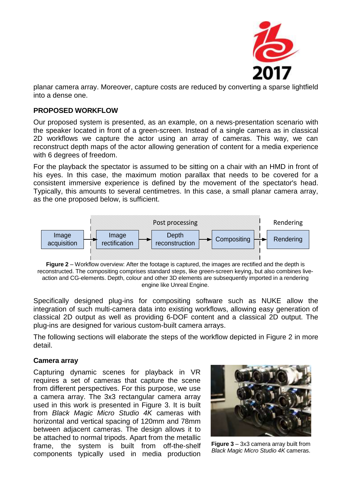

planar camera array. Moreover, capture costs are reduced by converting a sparse lightfield into a dense one.

#### **PROPOSED WORKFLOW**

Our proposed system is presented, as an example, on a news-presentation scenario with the speaker located in front of a green-screen. Instead of a single camera as in classical 2D workflows we capture the actor using an array of cameras. This way, we can reconstruct depth maps of the actor allowing generation of content for a media experience with 6 degrees of freedom.

For the playback the spectator is assumed to be sitting on a chair with an HMD in front of his eyes. In this case, the maximum motion parallax that needs to be covered for a consistent immersive experience is defined by the movement of the spectator's head. Typically, this amounts to several centimetres. In this case, a small planar camera array, as the one proposed below, is sufficient.



**Figure 2** – Workflow overview: After the footage is captured, the images are rectified and the depth is reconstructed. The compositing comprises standard steps, like green-screen keying, but also combines liveaction and CG-elements. Depth, colour and other 3D elements are subsequently imported in a rendering engine like Unreal Engine.

Specifically designed plug-ins for compositing software such as NUKE allow the integration of such multi-camera data into existing workflows, allowing easy generation of classical 2D output as well as providing 6-DOF content and a classical 2D output. The plug-ins are designed for various custom-built camera arrays.

The following sections will elaborate the steps of the workflow depicted in Figure 2 in more detail.

#### **Camera array**

Capturing dynamic scenes for playback in VR requires a set of cameras that capture the scene from different perspectives. For this purpose, we use a camera array. The 3x3 rectangular camera array used in this work is presented in Figure 3. It is built from *Black Magic Micro Studio 4K* cameras with horizontal and vertical spacing of 120mm and 78mm between adjacent cameras. The design allows it to be attached to normal tripods. Apart from the metallic frame, the system is built from off-the-shelf components typically used in media production



**Figure 3** – 3x3 camera array built from *Black Magic Micro Studio 4K* cameras.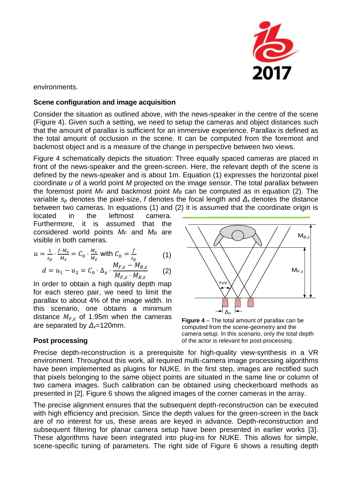

environments.

#### **Scene configuration and image acquisition**

Consider the situation as outlined above, with the news-speaker in the centre of the scene (Figure 4). Given such a setting, we need to setup the cameras and object distances such that the amount of parallax is sufficient for an immersive experience. Parallax is defined as the total amount of occlusion in the scene. It can be computed from the foremost and backmost object and is a measure of the change in perspective between two views.

Figure 4 schematically depicts the situation: Three equally spaced cameras are placed in front of the news-speaker and the green-screen. Here, the relevant depth of the scene is defined by the news-speaker and is about 1m. Equation (1) expresses the horizontal pixel coordinate *u* of a world point *M* projected on the image sensor. The total parallax between the foremost point  $M_F$  and backmost point  $M_B$  can be computed as in equation (2). The variable *s<sup>p</sup>* denotes the pixel-size, *f* denotes the focal length and *Δ<sup>x</sup>* denotes the distance between two cameras. In equations (1) and (2) it is assumed that the coordinate origin is

located in the leftmost camera. Furthermore, it is assumed that the considered world points *M<sup>F</sup>* and *M<sup>B</sup>* are visible in both cameras.

$$
u = \frac{1}{s_p} \cdot \frac{f \cdot M_x}{M_z} = C_0 \cdot \frac{M_x}{M_z} \text{ with } C_0 = \frac{f}{s_p} \tag{1}
$$

$$
d = u_1 - u_2 = C_0 \cdot \Delta_x \cdot \frac{M_{F,z} - M_{B,z}}{M_{F,z} \cdot M_{B,z}} \tag{2}
$$

In order to obtain a high quality depth map for each stereo pair, we need to limit the parallax to about 4% of the image width. In this scenario, one obtains a minimum distance  $M_{F,z}$  of 1.95m when the cameras are separated by *Δx*=120mm.



**Figure 4** – The total amount of parallax can be computed from the scene-geometry and the camera setup. In this scenario, only the total depth of the actor is relevant for post-processing.

# **Post processing**

Precise depth-reconstruction is a prerequisite for high-quality view-synthesis in a VR environment. Throughout this work, all required multi-camera image processing algorithms have been implemented as plugins for NUKE. In the first step, images are rectified such that pixels belonging to the same object points are situated in the same line or column of two camera images. Such calibration can be obtained using checkerboard methods as presented in [2]. Figure 6 shows the aligned images of the corner cameras in the array.

The precise alignment ensures that the subsequent depth-reconstruction can be executed with high efficiency and precision. Since the depth values for the green-screen in the back are of no interest for us, these areas are keyed in advance. Depth-reconstruction and subsequent filtering for planar camera setup have been presented in earlier works [3]. These algorithms have been integrated into plug-ins for NUKE. This allows for simple, scene-specific tuning of parameters. The right side of Figure 6 shows a resulting depth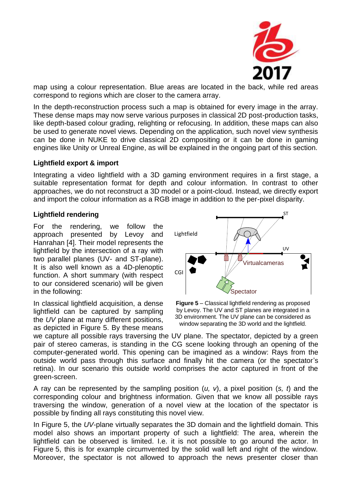

map using a colour representation. Blue areas are located in the back, while red areas correspond to regions which are closer to the camera array.

In the depth-reconstruction process such a map is obtained for every image in the array. These dense maps may now serve various purposes in classical 2D post-production tasks, like depth-based colour grading, relighting or refocusing. In addition, these maps can also be used to generate novel views. Depending on the application, such novel view synthesis can be done in NUKE to drive classical 2D compositing or it can be done in gaming engines like Unity or Unreal Engine, as will be explained in the ongoing part of this section.

#### **Lightfield export & import**

Integrating a video lightfield with a 3D gaming environment requires in a first stage, a suitable representation format for depth and colour information. In contrast to other approaches, we do not reconstruct a 3D model or a point-cloud. Instead, we directly export and import the colour information as a RGB image in addition to the per-pixel disparity.

## **Lightfield rendering**

For the rendering, we follow the approach presented by Levoy and Hanrahan [4]. Their model represents the lightfield by the intersection of a ray with two parallel planes (UV- and ST-plane). It is also well known as a 4D-plenoptic function. A short summary (with respect to our considered scenario) will be given in the following:

In classical lightfield acquisition, a dense lightfield can be captured by sampling the *UV* plane at many different positions, as depicted in Figure 5. By these means



**Figure 5** – Classical lightfield rendering as proposed by Levoy. The UV and ST planes are integrated in a 3D environment. The UV plane can be considered as window separating the 3D world and the lightfield.

we capture all possible rays traversing the UV plane. The spectator, depicted by a green pair of stereo cameras, is standing in the CG scene looking through an opening of the computer-generated world. This opening can be imagined as a window: Rays from the outside world pass through this surface and finally hit the camera (or the spectator's retina). In our scenario this outside world comprises the actor captured in front of the green-screen.

A ray can be represented by the sampling position (*u, v*), a pixel position (*s, t*) and the corresponding colour and brightness information. Given that we know all possible rays traversing the window, generation of a novel view at the location of the spectator is possible by finding all rays constituting this novel view.

In Figure 5, the *UV*-plane virtually separates the 3D domain and the lightfield domain. This model also shows an important property of such a lightfield: The area, wherein the lightfield can be observed is limited. I.e. it is not possible to go around the actor. In Figure 5, this is for example circumvented by the solid wall left and right of the window. Moreover, the spectator is not allowed to approach the news presenter closer than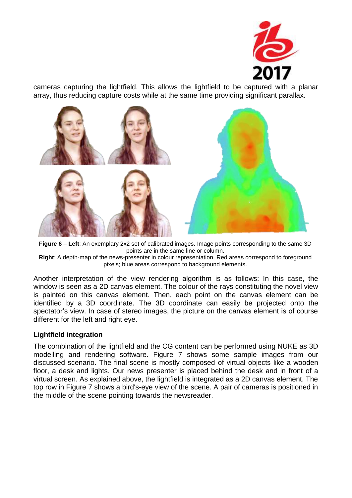

cameras capturing the lightfield. This allows the lightfield to be captured with a planar array, thus reducing capture costs while at the same time providing significant parallax.



**Figure 6** – **Left**: An exemplary 2x2 set of calibrated images. Image points corresponding to the same 3D points are in the same line or column.

**Right**: A depth-map of the news-presenter in colour representation. Red areas correspond to foreground pixels; blue areas correspond to background elements.

Another interpretation of the view rendering algorithm is as follows: In this case, the window is seen as a 2D canvas element. The colour of the rays constituting the novel view is painted on this canvas element. Then, each point on the canvas element can be identified by a 3D coordinate. The 3D coordinate can easily be projected onto the spectator's view. In case of stereo images, the picture on the canvas element is of course different for the left and right eye.

#### **Lightfield integration**

The combination of the lightfield and the CG content can be performed using NUKE as 3D modelling and rendering software. Figure 7 shows some sample images from our discussed scenario. The final scene is mostly composed of virtual objects like a wooden floor, a desk and lights. Our news presenter is placed behind the desk and in front of a virtual screen. As explained above, the lightfield is integrated as a 2D canvas element. The top row in Figure 7 shows a bird's-eye view of the scene. A pair of cameras is positioned in the middle of the scene pointing towards the newsreader.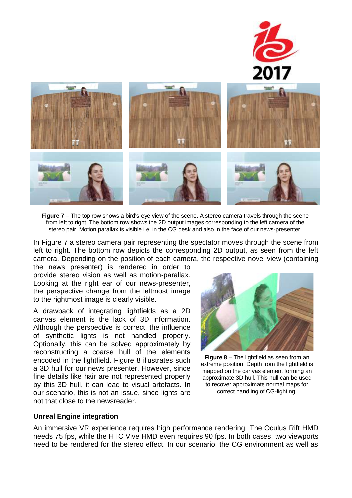

**Figure 7** – The top row shows a bird's-eye view of the scene. A stereo camera travels through the scene from left to right. The bottom row shows the 2D output images corresponding to the left camera of the stereo pair. Motion parallax is visible i.e. in the CG desk and also in the face of our news-presenter.

In Figure 7 a stereo camera pair representing the spectator moves through the scene from left to right. The bottom row depicts the corresponding 2D output, as seen from the left camera. Depending on the position of each camera, the respective novel view (containing

the news presenter) is rendered in order to provide stereo vision as well as motion-parallax. Looking at the right ear of our news-presenter, the perspective change from the leftmost image to the rightmost image is clearly visible.

A drawback of integrating lightfields as a 2D canvas element is the lack of 3D information. Although the perspective is correct, the influence of synthetic lights is not handled properly. Optionally, this can be solved approximately by reconstructing a coarse hull of the elements encoded in the lightfield. Figure 8 illustrates such a 3D hull for our news presenter. However, since fine details like hair are not represented properly by this 3D hull, it can lead to visual artefacts. In our scenario, this is not an issue, since lights are not that close to the newsreader.



**Figure 8** –.The lightfield as seen from an extreme position. Depth from the lightfield is mapped on the canvas element forming an approximate 3D hull. This hull can be used to recover approximate normal maps for correct handling of CG-lighting.

#### **Unreal Engine integration**

An immersive VR experience requires high performance rendering. The Oculus Rift HMD needs 75 fps, while the HTC Vive HMD even requires 90 fps. In both cases, two viewports need to be rendered for the stereo effect. In our scenario, the CG environment as well as